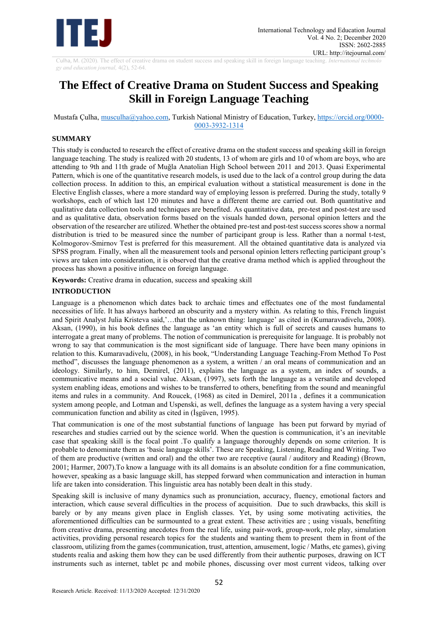

Culha, M. (2020). The effect of creative drama on student success and speaking skill in foreign language teaching. *International technolo gy and education journal,* 4(2), 52-64.

# **The Effect of Creative Drama on Student Success and Speaking Skill in Foreign Language Teaching**

Mustafa Çulha, [musculha@yahoo.com,](mailto:musculha@yahoo.com) Turkish National Ministry of Education, Turkey, [https://orcid.org/0000-](https://orcid.org/0000-0003-3932-1314) [0003-3932-1314](https://orcid.org/0000-0003-3932-1314)

# **SUMMARY**

This study is conducted to research the effect of creative drama on the student success and speaking skill in foreign language teaching. The study is realized with 20 students, 13 of whom are girls and 10 of whom are boys, who are attending to 9th and 11th grade of Muğla Anatolian High School between 2011 and 2013. Quasi Experimental Pattern, which is one of the quantitative research models, is used due to the lack of a control group during the data collection process. In addition to this, an empirical evaluation without a statistical measurement is done in the Elective English classes, where a more standard way of employing lesson is preferred. During the study, totally 9 workshops, each of which last 120 minutes and have a different theme are carried out. Both quantitative and qualitative data collection tools and techniques are benefited. As quantitative data, pre-test and post-test are used and as qualitative data, observation forms based on the visuals handed down, personal opinion letters and the observation of the researcher are utilized. Whether the obtained pre-test and post-test success scores show a normal distribution is tried to be measured since the number of participant group is less. Rather than a normal t-test, Kolmogorov-Smirnov Test is preferred for this measurement. All the obtained quantitative data is analyzed via SPSS program. Finally, when all the measurement tools and personal opinion letters reflecting participant group's views are taken into consideration, it is observed that the creative drama method which is applied throughout the process has shown a positive influence on foreign language.

**Keywords:** Creative drama in education, success and speaking skill

# **INTRODUCTION**

Language is a phenomenon which dates back to archaic times and effectuates one of the most fundamental necessities of life. It has always harbored an obscurity and a mystery within. As relating to this, French linguist and Spirit Analyst Julia Kristeva said,'…that the unknown thing: language' as cited in (Kumaravadivelu, 2008). Aksan, (1990), in his book defines the language as 'an entity which is full of secrets and causes humans to interrogate a great many of problems. The notion of communication is prerequisite for language. It is probably not wrong to say that communication is the most significant side of language. There have been many opinions in relation to this. Kumaravadivelu, (2008), in his book, "Understanding Language Teaching-From Method To Post method", discusses the language phenomenon as a system, a written / an oral means of communication and an ideology. Similarly, to him, Demirel, (2011), explains the language as a system, an index of sounds, a communicative means and a social value. Aksan, (1997), sets forth the language as a versatile and developed system enabling ideas, emotions and wishes to be transferred to others, benefiting from the sound and meaningful items and rules in a community. And Roucek, (1968) as cited in Demirel, 2011a , defines it a communication system among people, and Lotman and Uspenski, as well, defines the language as a system having a very special communication function and ability as cited in (İşgüven, 1995).

That communication is one of the most substantial functions of language has been put forward by myriad of researches and studies carried out by the science world. When the question is communication, it's an inevitable case that speaking skill is the focal point .To qualify a language thoroughly depends on some criterion. It is probable to denominate them as 'basic language skills'. These are Speaking, Listening, Reading and Writing. Two of them are productive (written and oral) and the other two are receptive (aural / auditory and Reading) (Brown, 2001; Harmer, 2007).To know a language with its all domains is an absolute condition for a fine communication, however, speaking as a basic language skill, has stepped forward when communication and interaction in human life are taken into consideration. This linguistic area has notably been dealt in this study.

Speaking skill is inclusive of many dynamics such as pronunciation, accuracy, fluency, emotional factors and interaction, which cause several difficulties in the process of acquisition. Due to such drawbacks, this skill is barely or by any means given place in English classes. Yet, by using some motivating activities, the aforementioned difficulties can be surmounted to a great extent. These activities are ; using visuals, benefiting from creative drama, presenting anecdotes from the real life, using pair-work, group-work, role play, simulation activities, providing personal research topics for the students and wanting them to present them in front of the classroom, utilizing from the games (communication, trust, attention, amusement, logic / Maths, etc games), giving students realia and asking them how they can be used differently from their authentic purposes, drawing on ICT instruments such as internet, tablet pc and mobile phones, discussing over most current videos, talking over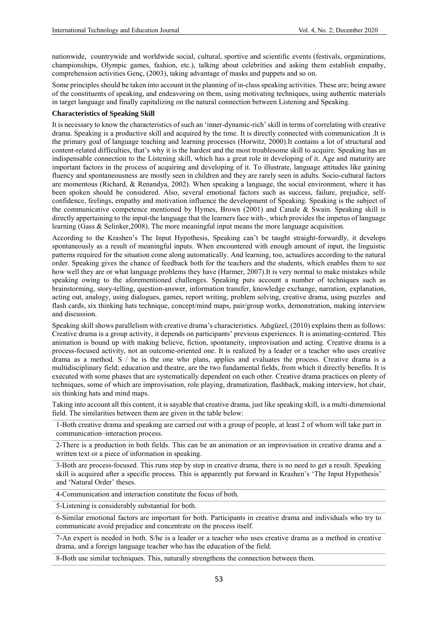nationwide, countrywide and worldwide social, cultural, sportive and scientific events (festivals, organizations, championships, Olympic games, fashion, etc.), talking about celebrities and asking them establish empathy, comprehension activities Genç, (2003), taking advantage of masks and puppets and so on.

Some principles should be taken into account in the planning of in-class speaking activities. These are; being aware of the constituents of speaking, and endeavoring on them, using motivating techniques, using authentic materials in target language and finally capitalizing on the natural connection between Listening and Speaking.

# **Characteristics of Speaking Skill**

It is necessary to know the characteristics of such an 'inner-dynamic-rich' skill in terms of correlating with creative drama. Speaking is a productive skill and acquired by the time. It is directly connected with communication .It is the primary goal of language teaching and learning processes (Horwitz, 2000).It contains a lot of structural and content-related difficulties, that's why it is the hardest and the most troublesome skill to acquire. Speaking has an indispensable connection to the Listening skill, which has a great role in developing of it. Age and maturity are important factors in the process of acquiring and developing of it. To illustrate, language attitudes like gaining fluency and spontaneousness are mostly seen in children and they are rarely seen in adults. Socio-cultural factors are momentous (Richard, & Renandya, 2002). When speaking a language, the social environment, where it has been spoken should be considered. Also, several emotional factors such as success, failure, prejudice, selfconfidence, feelings, empathy and motivation influence the development of Speaking. Speaking is the subject of the communicative competence mentioned by Hymes, Brown (2001) and Canale & Swain. Speaking skill is directly appertaining to the input-the language that the learners face with-, which provides the impetus of language learning (Gass & Selinker,2008). The more meaningful input means the more language acquisition.

According to the Krashen's The Input Hypothesis, Speaking can't be taught straight-forwardly, it develops spontaneously as a result of meaningful inputs. When encountered with enough amount of input, the linguistic patterns required for the situation come along automatically. And learning, too, actualizes according to the natural order. Speaking gives the chance of feedback both for the teachers and the students, which enables them to see how well they are or what language problems they have (Harmer, 2007).It is very normal to make mistakes while speaking owing to the aforementioned challenges. Speaking puts account a number of techniques such as brainstorming, story-telling, question-answer, information transfer, knowledge exchange, narration, explanation, acting out, analogy, using dialogues, games, report writing, problem solving, creative drama, using puzzles and flash cards, six thinking hats technique, concept/mind maps, pair/group works, demonstration, making interview and discussion.

Speaking skill shows parallelism with creative drama's characteristics. Adıgüzel, (2010) explains them as follows: Creative drama is a group activity, it depends on participants' previous experiences. It is animating-centered. This animation is bound up with making believe, fiction, spontaneity, improvisation and acting. Creative drama is a process-focused activity, not an outcome-oriented one. It is realized by a leader or a teacher who uses creative drama as a method. S / he is the one who plans, applies and evaluates the process. Creative drama is a multidisciplinary field; education and theatre, are the two fundamental fields, from which it directly benefits. It is executed with some phases that are systematically dependent on each other. Creative drama practices on plenty of techniques, some of which are improvisation, role playing, dramatization, flashback, making interview, hot chair, six thinking hats and mind maps.

Taking into account all this content, it is sayable that creative drama, just like speaking skill, is a multi-dimensional field. The similarities between them are given in the table below:

1-Both creative drama and speaking are carried out with a group of people, at least 2 of whom will take part in communication–interaction process.

2-There is a production in both fields. This can be an animation or an improvisation in creative drama and a written text or a piece of information in speaking.

3-Both are process-focused. This runs step by step in creative drama, there is no need to get a result. Speaking skill is acquired after a specific process. This is apparently put forward in Krashen's 'The Input Hypothesis' and 'Natural Order' theses.

4-Communication and interaction constitute the focus of both.

5-Listening is considerably substantial for both.

6-Similar emotional factors are important for both. Participants in creative drama and individuals who try to communicate avoid prejudice and concentrate on the process itself.

7-An expert is needed in both. S/he is a leader or a teacher who uses creative drama as a method in creative drama, and a foreign language teacher who has the education of the field.

8-Both use similar techniques. This, naturally strengthens the connection between them.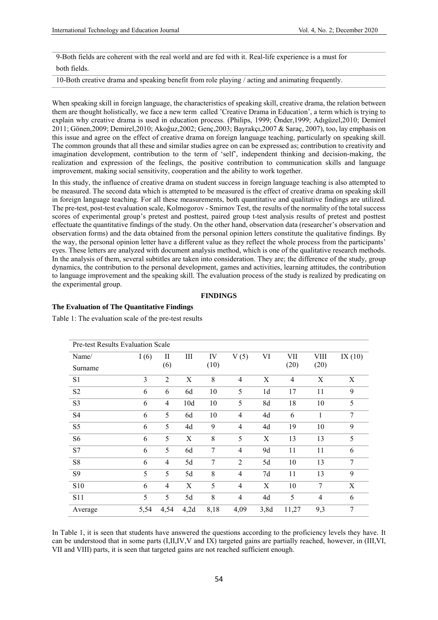9-Both fields are coherent with the real world and are fed with it. Real-life experience is a must for both fields.

10-Both creative drama and speaking benefit from role playing / acting and animating frequently.

When speaking skill in foreign language, the characteristics of speaking skill, creative drama, the relation between them are thought holistically, we face a new term called 'Creative Drama in Education', a term which is trying to explain why creative drama is used in education process. (Philips, 1999; Önder,1999; Adıgüzel,2010; Demirel 2011; Gönen,2009; Demirel,2010; Akoğuz,2002; Genç,2003; Bayrakçı,2007 & Saraç, 2007), too, lay emphasis on this issue and agree on the effect of creative drama on foreign language teaching, particularly on speaking skill. The common grounds that all these and similar studies agree on can be expressed as; contribution to creativity and imagination development, contribution to the term of 'self', independent thinking and decision-making, the realization and expression of the feelings, the positive contribution to communication skills and language improvement, making social sensitivity, cooperation and the ability to work together.

In this study, the influence of creative drama on student success in foreign language teaching is also attempted to be measured. The second data which is attempted to be measured is the effect of creative drama on speaking skill in foreign language teaching. For all these measurements, both quantitative and qualitative findings are utilized. The pre-test, post-test evaluation scale, Kolmogorov - Smirnov Test, the results of the normality of the total success scores of experimental group's pretest and posttest, paired group t-test analysis results of pretest and posttest effectuate the quantitative findings of the study. On the other hand, observation data (researcher's observation and observation forms) and the data obtained from the personal opinion letters constitute the qualitative findings. By the way, the personal opinion letter have a different value as they reflect the whole process from the participants' eyes. These letters are analyzed with document analysis method, which is one of the qualitative research methods. In the analysis of them, several subtitles are taken into consideration. They are; the difference of the study, group dynamics, the contribution to the personal development, games and activities, learning attitudes, the contribution to language improvement and the speaking skill. The evaluation process of the study is realized by predicating on the experimental group.

#### **FINDINGS**

### **The Evaluation of The Quantitative Findings**

Table 1: The evaluation scale of the pre-test results

| <b>Pre-test Results Evaluation Scale</b> |      |                |      |      |                |                |                |                |           |
|------------------------------------------|------|----------------|------|------|----------------|----------------|----------------|----------------|-----------|
| Name/                                    | I(6) | П              | Ш    | IV   | V(5)           | VI             | VII            | VIII           | IX $(10)$ |
| Surname                                  |      | (6)            |      | (10) |                |                | (20)           | (20)           |           |
| S1                                       | 3    | $\overline{2}$ | X    | 8    | $\overline{4}$ | X              | $\overline{4}$ | X              | X         |
| S <sub>2</sub>                           | 6    | 6              | 6d   | 10   | 5              | 1 <sub>d</sub> | 17             | 11             | 9         |
| S <sub>3</sub>                           | 6    | $\overline{4}$ | 10d  | 10   | 5              | 8d             | 18             | 10             | 5         |
| S <sub>4</sub>                           | 6    | 5              | 6d   | 10   | $\overline{4}$ | 4d             | 6              | 1              | 7         |
| S <sub>5</sub>                           | 6    | 5              | 4d   | 9    | $\overline{4}$ | 4d             | 19             | 10             | 9         |
| S <sub>6</sub>                           | 6    | 5              | X    | 8    | 5              | X              | 13             | 13             | 5         |
| S7                                       | 6    | 5              | 6d   | 7    | $\overline{4}$ | 9d             | 11             | 11             | 6         |
| S8                                       | 6    | $\overline{4}$ | 5d   | 7    | 2              | 5d             | 10             | 13             | 7         |
| S <sub>9</sub>                           | 5    | 5              | 5d   | 8    | $\overline{4}$ | 7d             | 11             | 13             | 9         |
| <b>S10</b>                               | 6    | $\overline{4}$ | X    | 5    | $\overline{4}$ | X              | 10             | 7              | X         |
| <b>S11</b>                               | 5    | 5              | 5d   | 8    | $\overline{4}$ | 4d             | 5              | $\overline{4}$ | 6         |
| Average                                  | 5,54 | 4,54           | 4,2d | 8,18 | 4,09           | 3,8d           | 11,27          | 9,3            | $\tau$    |

In Table 1, it is seen that students have answered the questions according to the proficiency levels they have. It can be understood that in some parts (I,II,IV,V and IX) targeted gains are partially reached, however, in (III,VI, VII and VIII) parts, it is seen that targeted gains are not reached sufficient enough.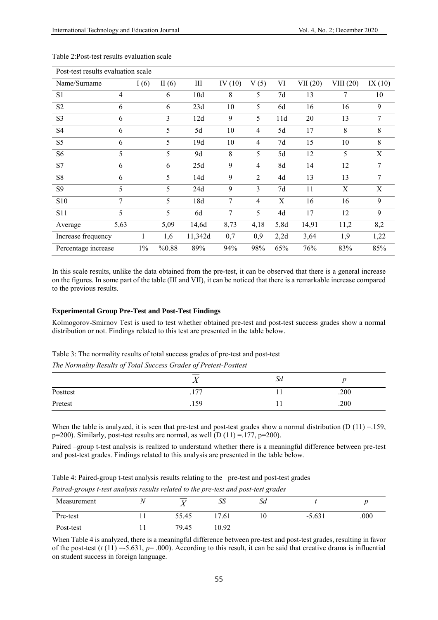| Post-test results evaluation scale |                |       |          |         |                |                |      |         |           |           |
|------------------------------------|----------------|-------|----------|---------|----------------|----------------|------|---------|-----------|-----------|
| Name/Surname                       |                | I(6)  | II $(6)$ | Ш       | IV $(10)$      | V(5)           | VI   | VII(20) | VIII (20) | IX $(10)$ |
| S <sub>1</sub>                     | $\overline{4}$ |       | 6        | 10d     | 8              | 5              | 7d   | 13      | 7         | 10        |
| S <sub>2</sub>                     | 6              |       | 6        | 23d     | 10             | 5              | 6d   | 16      | 16        | 9         |
| S <sub>3</sub>                     | 6              |       | 3        | 12d     | 9              | 5              | 11d  | 20      | 13        | 7         |
| S <sub>4</sub>                     | 6              |       | 5        | 5d      | 10             | $\overline{4}$ | 5d   | 17      | 8         | 8         |
| S <sub>5</sub>                     | 6              |       | 5        | 19d     | 10             | $\overline{4}$ | 7d   | 15      | 10        | 8         |
| S <sub>6</sub>                     | 5              |       | 5        | 9d      | 8              | 5              | 5d   | 12      | 5         | X         |
| S7                                 | 6              |       | 6        | 25d     | 9              | $\overline{4}$ | 8d   | 14      | 12        | 7         |
| S8                                 | 6              |       | 5        | 14d     | 9              | $\overline{2}$ | 4d   | 13      | 13        | 7         |
| <b>S9</b>                          | 5              |       | 5        | 24d     | 9              | 3              | 7d   | 11      | X         | X         |
| S10                                | 7              |       | 5        | 18d     | 7              | $\overline{4}$ | X    | 16      | 16        | 9         |
| <b>S11</b>                         | 5              |       | 5        | 6d      | $\overline{7}$ | 5              | 4d   | 17      | 12        | 9         |
| Average                            | 5,63           |       | 5,09     | 14,6d   | 8,73           | 4,18           | 5,8d | 14,91   | 11,2      | 8,2       |
| Increase frequency                 |                |       | 1,6      | 11,342d | 0,7            | 0,9            | 2,2d | 3,64    | 1,9       | 1,22      |
| Percentage increase                |                | $1\%$ | %0.88    | 89%     | 94%            | 98%            | 65%  | 76%     | 83%       | 85%       |

Table 2:Post-test results evaluation scale

In this scale results, unlike the data obtained from the pre-test, it can be observed that there is a general increase on the figures. In some part of the table (III and VII), it can be noticed that there is a remarkable increase compared to the previous results.

#### **Experimental Group Pre-Test and Post-Test Findings**

Kolmogorov-Smirnov Test is used to test whether obtained pre-test and post-test success grades show a normal distribution or not. Findings related to this test are presented in the table below.

Table 3: The normality results of total success grades of pre-test and post-test

*The Normality Results of Total Success Grades of Pretest-Posttest*

|          | <b>T</b><br>$\Lambda$ | Sd |      |  |
|----------|-----------------------|----|------|--|
| Posttest | 177<br>.1/7           |    | .200 |  |
| Pretest  | .159                  |    | .200 |  |

When the table is analyzed, it is seen that pre-test and post-test grades show a normal distribution (D  $(11) = 159$ ,  $p=200$ ). Similarly, post-test results are normal, as well  $(D (11) = 177, p=200)$ .

Paired –group t-test analysis is realized to understand whether there is a meaningful difference between pre-test and post-test grades. Findings related to this analysis are presented in the table below.

| Table 4: Paired-group t-test analysis results relating to the pre-test and post-test grades |  |  |  |  |
|---------------------------------------------------------------------------------------------|--|--|--|--|
|---------------------------------------------------------------------------------------------|--|--|--|--|

*Paired-groups t-test analysis results related to the pre-test and post-test grades*

| Measurement |       | SS    | Sd |          |      |
|-------------|-------|-------|----|----------|------|
| Pre-test    | 55.45 | 17.61 | 10 | $-5.631$ | .000 |
| Post-test   | 79.45 | 10.92 |    |          |      |

When Table 4 is analyzed, there is a meaningful difference between pre-test and post-test grades, resulting in favor of the post-test  $(t(1) = -5.631, p = .000)$ . According to this result, it can be said that creative drama is influential on student success in foreign language.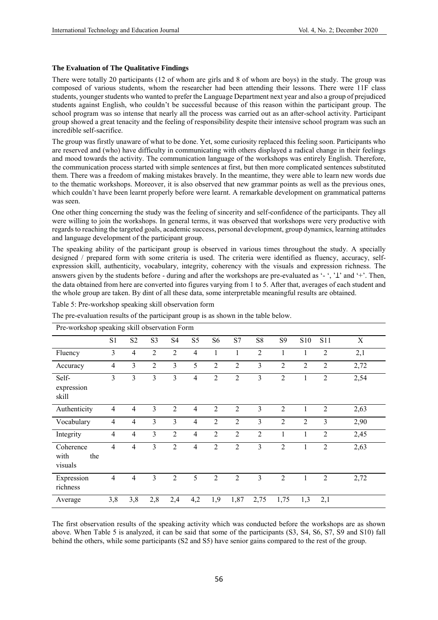# **The Evaluation of The Qualitative Findings**

There were totally 20 participants (12 of whom are girls and 8 of whom are boys) in the study. The group was composed of various students, whom the researcher had been attending their lessons. There were 11F class students, younger students who wanted to prefer the Language Department next year and also a group of prejudiced students against English, who couldn't be successful because of this reason within the participant group. The school program was so intense that nearly all the process was carried out as an after-school activity. Participant group showed a great tenacity and the feeling of responsibility despite their intensive school program was such an incredible self-sacrifice.

The group was firstly unaware of what to be done. Yet, some curiosity replaced this feeling soon. Participants who are reserved and (who) have difficulty in communicating with others displayed a radical change in their feelings and mood towards the activity. The communication language of the workshops was entirely English. Therefore, the communication process started with simple sentences at first, but then more complicated sentences substituted them. There was a freedom of making mistakes bravely. In the meantime, they were able to learn new words due to the thematic workshops. Moreover, it is also observed that new grammar points as well as the previous ones, which couldn't have been learnt properly before were learnt. A remarkable development on grammatical patterns was seen.

One other thing concerning the study was the feeling of sincerity and self-confidence of the participants. They all were willing to join the workshops. In general terms, it was observed that workshops were very productive with regards to reaching the targeted goals, academic success, personal development, group dynamics, learning attitudes and language development of the participant group.

The speaking ability of the participant group is observed in various times throughout the study. A specially designed / prepared form with some criteria is used. The criteria were identified as fluency, accuracy, selfexpression skill, authenticity, vocabulary, integrity, coherency with the visuals and expression richness. The answers given by the students before - during and after the workshops are pre-evaluated as '-', ' $\perp$ ' and '+'. Then, the data obtained from here are converted into figures varying from 1 to 5. After that, averages of each student and the whole group are taken. By dint of all these data, some interpretable meaningful results are obtained.

|                                     | Pre-workshop speaking skill observation Form |                |                         |                |                |                |                |                |                |                |                |      |
|-------------------------------------|----------------------------------------------|----------------|-------------------------|----------------|----------------|----------------|----------------|----------------|----------------|----------------|----------------|------|
|                                     | S1                                           | S <sub>2</sub> | S <sub>3</sub>          | S <sub>4</sub> | S <sub>5</sub> | S <sub>6</sub> | S7             | S8             | S9             | S10            | <b>S11</b>     | X    |
| Fluency                             | $\overline{3}$                               | $\overline{4}$ | $\overline{2}$          | $\overline{2}$ | 4              | 1              | 1              | $\overline{2}$ | 1              | 1              | $\overline{2}$ | 2,1  |
| Accuracy                            | $\overline{4}$                               | 3              | $\overline{2}$          | 3              | 5              | $\overline{2}$ | $\overline{2}$ | 3              | $\overline{2}$ | $\overline{2}$ | $\overline{2}$ | 2,72 |
| Self-<br>expression<br>skill        | $\overline{3}$                               | 3              | $\overline{\mathbf{3}}$ | 3              | $\overline{4}$ | $\overline{2}$ | $\overline{2}$ | $\overline{3}$ | $\overline{2}$ | $\mathbf{1}$   | $\overline{2}$ | 2,54 |
| Authenticity                        | $\overline{4}$                               | $\overline{4}$ | 3                       | 2              | 4              | $\overline{2}$ | $\overline{2}$ | 3              | $\overline{2}$ | 1              | $\overline{2}$ | 2,63 |
| Vocabulary                          | $\overline{4}$                               | $\overline{4}$ | 3                       | 3              | 4              | $\overline{2}$ | $\overline{2}$ | $\overline{3}$ | $\overline{2}$ | $\overline{2}$ | $\overline{3}$ | 2,90 |
| Integrity                           | $\overline{4}$                               | $\overline{4}$ | 3                       | $\overline{2}$ | 4              | $\overline{2}$ | $\overline{2}$ | $\overline{2}$ | $\mathbf{1}$   | 1              | $\overline{2}$ | 2,45 |
| Coherence<br>with<br>the<br>visuals | $\overline{4}$                               | $\overline{4}$ | 3                       | $\overline{2}$ | 4              | $\overline{2}$ | $\overline{2}$ | $\overline{3}$ | $\overline{2}$ | 1              | $\overline{2}$ | 2,63 |
| Expression<br>richness              | $\overline{4}$                               | $\overline{4}$ | 3                       | $\overline{2}$ | 5              | $\overline{2}$ | $\overline{2}$ | $\overline{3}$ | $\overline{2}$ | $\mathbf{1}$   | $\overline{2}$ | 2,72 |
| Average                             | 3,8                                          | 3,8            | 2,8                     | 2,4            | 4,2            | 1,9            | 1,87           | 2,75           | 1,75           | 1,3            | 2,1            |      |

Table 5: Pre-workshop speaking skill observation form

The pre-evaluation results of the participant group is as shown in the table below.

The first observation results of the speaking activity which was conducted before the workshops are as shown above. When Table 5 is analyzed, it can be said that some of the participants (S3, S4, S6, S7, S9 and S10) fall behind the others, while some participants (S2 and S5) have senior gains compared to the rest of the group.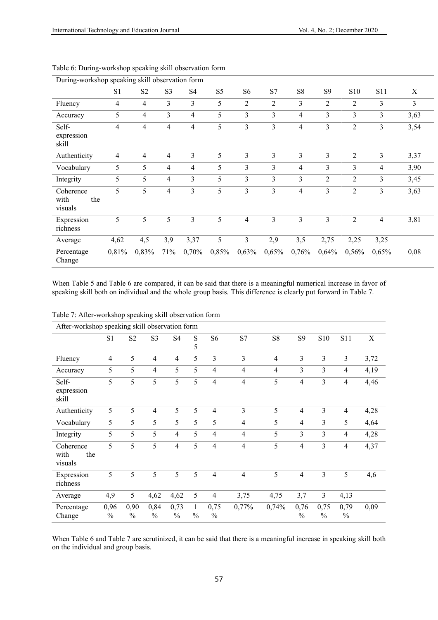| During-workshop speaking skill observation form |                |                |                |                |                |                          |                |                |                |                 |                |             |
|-------------------------------------------------|----------------|----------------|----------------|----------------|----------------|--------------------------|----------------|----------------|----------------|-----------------|----------------|-------------|
|                                                 | S1             | S <sub>2</sub> | S <sub>3</sub> | S4             | S <sub>5</sub> | S <sub>6</sub>           | S7             | S8             | S <sub>9</sub> | S <sub>10</sub> | S11            | $\mathbf X$ |
| Fluency                                         | $\overline{4}$ | $\overline{4}$ | 3              | 3              | 5              | $\overline{2}$           | $\overline{2}$ | 3              | $\overline{2}$ | 2               | 3              | 3           |
| Accuracy                                        | 5              | $\overline{4}$ | $\overline{3}$ | 4              | 5              | 3                        | 3              | 4              | 3              | 3               | 3              | 3,63        |
| Self-<br>expression<br>skill                    | $\overline{4}$ | $\overline{4}$ | 4              | $\overline{4}$ | 5              | 3                        | 3              | 4              | 3              | $\overline{c}$  | 3              | 3,54        |
| Authenticity                                    | $\overline{4}$ | $\overline{4}$ | 4              | $\overline{3}$ | 5              | 3                        | $\overline{3}$ | 3              | 3              | $\overline{2}$  | 3              | 3,37        |
| Vocabulary                                      | 5              | 5              | 4              | 4              | 5              | 3                        | 3              | $\overline{4}$ | 3              | 3               | $\overline{4}$ | 3,90        |
| Integrity                                       | 5              | 5              | 4              | 3              | 5              | 3                        | $\overline{3}$ | 3              | 2              | 2               | 3              | 3,45        |
| Coherence<br>with<br>the<br>visuals             | 5              | 5              | 4              | 3              | 5              | 3                        | 3              | 4              | 3              | $\overline{c}$  | 3              | 3,63        |
| Expression<br>richness                          | 5              | 5              | 5              | 3              | 5              | $\overline{\mathcal{A}}$ | 3              | 3              | 3              | $\overline{2}$  | $\overline{4}$ | 3,81        |
| Average                                         | 4,62           | 4,5            | 3,9            | 3,37           | 5              | 3                        | 2,9            | 3,5            | 2,75           | 2,25            | 3,25           |             |
| Percentage<br>Change                            | 0,81%          | 0,83%          | 71%            | 0,70%          | 0,85%          | 0,63%                    | 0,65%          | 0,76%          | 0,64%          | 0,56%           | 0,65%          | 0,08        |

Table 6: During-workshop speaking skill observation form

When Table 5 and Table 6 are compared, it can be said that there is a meaningful numerical increase in favor of speaking skill both on individual and the whole group basis. This difference is clearly put forward in Table 7.

| After-workshop speaking skill observation form |                       |                |                          |                       |                               |                       |                |                |                       |                       |                       |      |
|------------------------------------------------|-----------------------|----------------|--------------------------|-----------------------|-------------------------------|-----------------------|----------------|----------------|-----------------------|-----------------------|-----------------------|------|
|                                                | S <sub>1</sub>        | S <sub>2</sub> | S <sub>3</sub>           | S <sub>4</sub>        | S<br>5                        | S <sub>6</sub>        | S7             | S <sub>8</sub> | S <sub>9</sub>        | S10                   | <b>S11</b>            | X    |
| Fluency                                        | $\overline{4}$        | 5              | 4                        | $\overline{4}$        | 5                             | 3                     | 3              | $\overline{4}$ | $\overline{3}$        | 3                     | $\overline{3}$        | 3,72 |
| Accuracy                                       | 5                     | 5              | 4                        | 5                     | 5                             | 4                     | $\overline{4}$ | $\overline{4}$ | 3                     | 3                     | $\overline{4}$        | 4,19 |
| Self-<br>expression<br>skill                   | 5                     | 5              | 5                        | 5                     | 5                             | $\overline{4}$        | $\overline{4}$ | 5              | $\overline{4}$        | 3                     | $\overline{4}$        | 4,46 |
| Authenticity                                   | 5                     | 5              | $\overline{\mathcal{A}}$ | 5                     | 5                             | 4                     | 3              | 5              | $\overline{4}$        | 3                     | $\overline{4}$        | 4,28 |
| Vocabulary                                     | 5                     | 5              | 5                        | 5                     | 5                             | 5                     | $\overline{4}$ | 5              | $\overline{4}$        | 3                     | 5                     | 4,64 |
| Integrity                                      | 5                     | 5              | 5                        | $\overline{4}$        | 5                             | 4                     | $\overline{4}$ | 5              | 3                     | 3                     | $\overline{4}$        | 4,28 |
| Coherence<br>with<br>the<br>visuals            | 5                     | 5              | 5                        | 4                     | 5                             | 4                     | $\overline{4}$ | 5              | $\overline{4}$        | 3                     | $\overline{4}$        | 4,37 |
| Expression<br>richness                         | 5                     | 5              | 5                        | 5                     | 5                             | $\overline{4}$        | $\overline{4}$ | 5              | $\overline{4}$        | 3                     | 5                     | 4,6  |
| Average                                        | 4,9                   | 5              | 4,62                     | 4,62                  | 5                             | $\overline{4}$        | 3,75           | 4,75           | 3,7                   | $\overline{3}$        | 4,13                  |      |
| Percentage<br>Change                           | 0,96<br>$\frac{0}{0}$ | 0,90<br>$\%$   | 0,84<br>$\frac{0}{0}$    | 0,73<br>$\frac{0}{0}$ | $\mathbf{1}$<br>$\frac{0}{0}$ | 0,75<br>$\frac{0}{0}$ | 0,77%          | 0,74%          | 0,76<br>$\frac{0}{0}$ | 0,75<br>$\frac{0}{0}$ | 0,79<br>$\frac{0}{0}$ | 0,09 |

When Table 6 and Table 7 are scrutinized, it can be said that there is a meaningful increase in speaking skill both on the individual and group basis.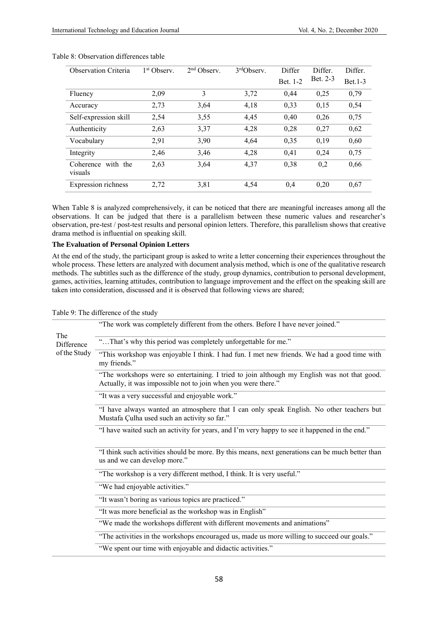| <b>Observation Criteria</b>      | 1 <sup>st</sup> Observ. | $2nd$ Observ. | $3rd$ Observ. | Differ   | Differ.  | Differ.             |
|----------------------------------|-------------------------|---------------|---------------|----------|----------|---------------------|
|                                  |                         |               |               | Bet. 1-2 | Bet. 2-3 | $_{\text{Bet.1-3}}$ |
| Fluency                          | 2,09                    | 3             | 3,72          | 0,44     | 0,25     | 0,79                |
| Accuracy                         | 2,73                    | 3.64          | 4,18          | 0,33     | 0,15     | 0.54                |
| Self-expression skill            | 2,54                    | 3,55          | 4,45          | 0,40     | 0,26     | 0,75                |
| Authenticity                     | 2,63                    | 3,37          | 4,28          | 0,28     | 0,27     | 0,62                |
| Vocabulary                       | 2,91                    | 3,90          | 4,64          | 0,35     | 0,19     | 0,60                |
| Integrity                        | 2,46                    | 3,46          | 4,28          | 0.41     | 0,24     | 0,75                |
| with the<br>Coherence<br>visuals | 2,63                    | 3,64          | 4,37          | 0,38     | 0,2      | 0,66                |
| Expression richness              | 2,72                    | 3,81          | 4,54          | 0,4      | 0,20     | 0.67                |

#### Table 8: Observation differences table

When Table 8 is analyzed comprehensively, it can be noticed that there are meaningful increases among all the observations. It can be judged that there is a parallelism between these numeric values and researcher's observation, pre-test / post-test results and personal opinion letters. Therefore, this parallelism shows that creative drama method is influential on speaking skill.

### **The Evaluation of Personal Opinion Letters**

At the end of the study, the participant group is asked to write a letter concerning their experiences throughout the whole process. These letters are analyzed with document analysis method, which is one of the qualitative research methods. The subtitles such as the difference of the study, group dynamics, contribution to personal development, games, activities, learning attitudes, contribution to language improvement and the effect on the speaking skill are taken into consideration, discussed and it is observed that following views are shared;

Table 9: The difference of the study

|                   | "The work was completely different from the others. Before I have never joined."                                                                             |  |  |  |  |  |  |  |
|-------------------|--------------------------------------------------------------------------------------------------------------------------------------------------------------|--|--|--|--|--|--|--|
| The<br>Difference | "That's why this period was completely unforgettable for me."                                                                                                |  |  |  |  |  |  |  |
| of the Study      | "This workshop was enjoyable I think. I had fun. I met new friends. We had a good time with<br>my friends."                                                  |  |  |  |  |  |  |  |
|                   | "The workshops were so entertaining. I tried to join although my English was not that good.<br>Actually, it was impossible not to join when you were there." |  |  |  |  |  |  |  |
|                   | "It was a very successful and enjoyable work."                                                                                                               |  |  |  |  |  |  |  |
|                   | "I have always wanted an atmosphere that I can only speak English. No other teachers but<br>Mustafa Çulha used such an activity so far."                     |  |  |  |  |  |  |  |
|                   | "I have waited such an activity for years, and I'm very happy to see it happened in the end."                                                                |  |  |  |  |  |  |  |
|                   | "I think such activities should be more. By this means, next generations can be much better than<br>us and we can develop more."                             |  |  |  |  |  |  |  |
|                   | "The workshop is a very different method, I think. It is very useful."                                                                                       |  |  |  |  |  |  |  |
|                   | "We had enjoyable activities."                                                                                                                               |  |  |  |  |  |  |  |
|                   | "It wasn't boring as various topics are practiced."                                                                                                          |  |  |  |  |  |  |  |
|                   | "It was more beneficial as the workshop was in English"                                                                                                      |  |  |  |  |  |  |  |
|                   | "We made the workshops different with different movements and animations"                                                                                    |  |  |  |  |  |  |  |
|                   | "The activities in the workshops encouraged us, made us more willing to succeed our goals."                                                                  |  |  |  |  |  |  |  |
|                   | "We spent our time with enjoyable and didactic activities."                                                                                                  |  |  |  |  |  |  |  |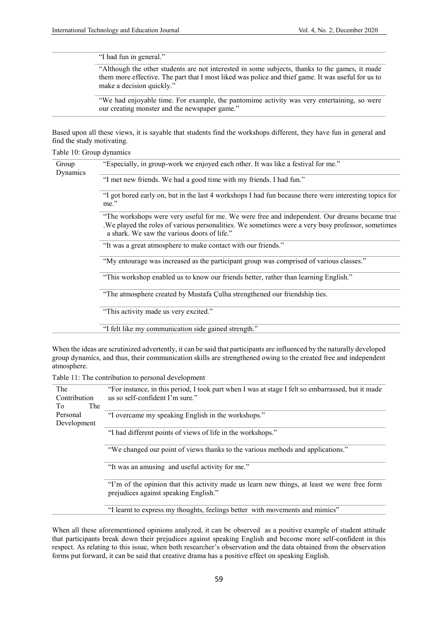"I had fun in general."

"Although the other students are not interested in some subjects, thanks to the games, it made them more effective. The part that I most liked was police and thief game. It was useful for us to make a decision quickly."

"We had enjoyable time. For example, the pantomime activity was very entertaining, so were our creating monster and the newspaper game."

Based upon all these views, it is sayable that students find the workshops different, they have fun in general and find the study motivating.

|  | Table 10: Group dynamics |  |
|--|--------------------------|--|
|  |                          |  |

| Group<br>Dynamics | "Especially, in group-work we enjoyed each other. It was like a festival for me."                                                                                                                                                               |
|-------------------|-------------------------------------------------------------------------------------------------------------------------------------------------------------------------------------------------------------------------------------------------|
|                   | "I met new friends. We had a good time with my friends. I had fun."                                                                                                                                                                             |
|                   | "I got bored early on, but in the last 4 workshops I had fun because there were interesting topics for<br>me."                                                                                                                                  |
|                   | "The workshops were very useful for me. We were free and independent. Our dreams became true<br>We played the roles of various personalities. We sometimes were a very busy professor, sometimes<br>a shark. We saw the various doors of life." |
|                   | "It was a great atmosphere to make contact with our friends."                                                                                                                                                                                   |
|                   | "My entourage was increased as the participant group was comprised of various classes."                                                                                                                                                         |
|                   | "This workshop enabled us to know our friends better, rather than learning English."                                                                                                                                                            |
|                   | "The atmosphere created by Mustafa Culha strengthened our friendship ties.                                                                                                                                                                      |
|                   | "This activity made us very excited."                                                                                                                                                                                                           |
|                   | "I felt like my communication side gained strength."                                                                                                                                                                                            |

When the ideas are scrutinized advertently, it can be said that participants are influenced by the naturally developed group dynamics, and thus, their communication skills are strengthened owing to the created free and independent atmosphere.

Table 11: The contribution to personal development

| The<br>Contribution     | "For instance, in this period, I took part when I was at stage I felt so embarrassed, but it made<br>us so self-confident I'm sure." |
|-------------------------|--------------------------------------------------------------------------------------------------------------------------------------|
| The<br>Tо               |                                                                                                                                      |
| Personal<br>Development | "I overcame my speaking English in the workshops."                                                                                   |
|                         | "I had different points of views of life in the workshops."                                                                          |
|                         | "We changed our point of views thanks to the various methods and applications."                                                      |
|                         | "It was an amusing and useful activity for me."                                                                                      |
|                         | "I'm of the opinion that this activity made us learn new things, at least we were free form<br>prejudices against speaking English." |
|                         | "I learnt to express my thoughts, feelings better with movements and mimics"                                                         |

When all these aforementioned opinions analyzed, it can be observed as a positive example of student attitude that participants break down their prejudices against speaking English and become more self-confident in this respect. As relating to this issue, when both researcher's observation and the data obtained from the observation forms put forward, it can be said that creative drama has a positive effect on speaking English.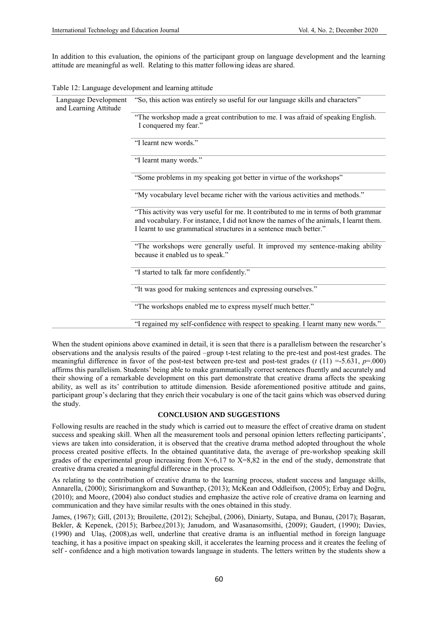In addition to this evaluation, the opinions of the participant group on language development and the learning attitude are meaningful as well. Relating to this matter following ideas are shared.

| Language Development<br>and Learning Attitude | "So, this action was entirely so useful for our language skills and characters"                                                                                                                                                                     |
|-----------------------------------------------|-----------------------------------------------------------------------------------------------------------------------------------------------------------------------------------------------------------------------------------------------------|
|                                               | "The workshop made a great contribution to me. I was afraid of speaking English.<br>I conquered my fear."                                                                                                                                           |
|                                               | "I learnt new words."                                                                                                                                                                                                                               |
|                                               | "I learnt many words."                                                                                                                                                                                                                              |
|                                               | "Some problems in my speaking got better in virtue of the workshops"                                                                                                                                                                                |
|                                               | "My vocabulary level became richer with the various activities and methods."                                                                                                                                                                        |
|                                               | "This activity was very useful for me. It contributed to me in terms of both grammar<br>and vocabulary. For instance, I did not know the names of the animals, I learnt them.<br>I learnt to use grammatical structures in a sentence much better." |
|                                               | "The workshops were generally useful. It improved my sentence-making ability<br>because it enabled us to speak."                                                                                                                                    |
|                                               | "I started to talk far more confidently."                                                                                                                                                                                                           |
|                                               | "It was good for making sentences and expressing ourselves."                                                                                                                                                                                        |
|                                               | "The workshops enabled me to express myself much better."                                                                                                                                                                                           |
|                                               | "I regained my self-confidence with respect to speaking. I learnt many new words."                                                                                                                                                                  |

Table 12: Language development and learning attitude

When the student opinions above examined in detail, it is seen that there is a parallelism between the researcher's observations and the analysis results of the paired –group t-test relating to the pre-test and post-test grades. The meaningful difference in favor of the post-test between pre-test and post-test grades (*t* (11) =-5.631, *p*=.000) affirms this parallelism. Students' being able to make grammatically correct sentences fluently and accurately and their showing of a remarkable development on this part demonstrate that creative drama affects the speaking ability, as well as its' contribution to attitude dimension. Beside aforementioned positive attitude and gains, participant group's declaring that they enrich their vocabulary is one of the tacit gains which was observed during the study.

## **CONCLUSION AND SUGGESTIONS**

Following results are reached in the study which is carried out to measure the effect of creative drama on student success and speaking skill. When all the measurement tools and personal opinion letters reflecting participants', views are taken into consideration, it is observed that the creative drama method adopted throughout the whole process created positive effects. In the obtained quantitative data, the average of pre-workshop speaking skill grades of the experimental group increasing from  $X=6,17$  to  $X=8,82$  in the end of the study, demonstrate that creative drama created a meaningful difference in the process.

As relating to the contribution of creative drama to the learning process, student success and language skills, Annarella, (2000); Sirisrimangkorn and Suwanthep, (2013); McKean and Oddleifson, (2005); Erbay and Doğru, (2010); and Moore, (2004) also conduct studies and emphasize the active role of creative drama on learning and communication and they have similar results with the ones obtained in this study.

James, (1967); Gill, (2013); Brouilette, (2012); Schejbal, (2006), Diniarty, Sutapa, and Bunau, (2017); Başaran, Bekler, & Kepenek, (2015); Barbee,(2013); Janudom, and Wasanasomsithi, (2009); Gaudert, (1990); Davies, (1990) and Ulaş, (2008),as well, underline that creative drama is an influential method in foreign language teaching, it has a positive impact on speaking skill, it accelerates the learning process and it creates the feeling of self - confidence and a high motivation towards language in students. The letters written by the students show a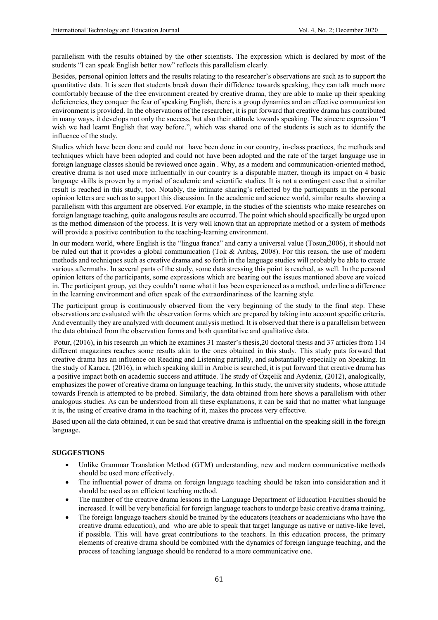parallelism with the results obtained by the other scientists. The expression which is declared by most of the students "I can speak English better now" reflects this parallelism clearly.

Besides, personal opinion letters and the results relating to the researcher's observations are such as to support the quantitative data. It is seen that students break down their diffidence towards speaking, they can talk much more comfortably because of the free environment created by creative drama, they are able to make up their speaking deficiencies, they conquer the fear of speaking English, there is a group dynamics and an effective communication environment is provided. In the observations of the researcher, it is put forward that creative drama has contributed in many ways, it develops not only the success, but also their attitude towards speaking. The sincere expression "I wish we had learnt English that way before.", which was shared one of the students is such as to identify the influence of the study.

Studies which have been done and could not have been done in our country, in-class practices, the methods and techniques which have been adopted and could not have been adopted and the rate of the target language use in foreign language classes should be reviewed once again . Why, as a modern and communication-oriented method, creative drama is not used more influentially in our country is a disputable matter, though its impact on 4 basic language skills is proven by a myriad of academic and scientific studies. It is not a contingent case that a similar result is reached in this study, too. Notably, the intimate sharing's reflected by the participants in the personal opinion letters are such as to support this discussion. In the academic and science world, similar results showing a parallelism with this argument are observed. For example, in the studies of the scientists who make researches on foreign language teaching, quite analogous results are occurred. The point which should specifically be urged upon is the method dimension of the process. It is very well known that an appropriate method or a system of methods will provide a positive contribution to the teaching-learning environment.

In our modern world, where English is the "lingua franca" and carry a universal value (Tosun,2006), it should not be ruled out that it provides a global communication (Tok & Arıbaş, 2008). For this reason, the use of modern methods and techniques such as creative drama and so forth in the language studies will probably be able to create various aftermaths. In several parts of the study, some data stressing this point is reached, as well. In the personal opinion letters of the participants, some expressions which are bearing out the issues mentioned above are voiced in. The participant group, yet they couldn't name what it has been experienced as a method, underline a difference in the learning environment and often speak of the extraordinariness of the learning style.

The participant group is continuously observed from the very beginning of the study to the final step. These observations are evaluated with the observation forms which are prepared by taking into account specific criteria. And eventually they are analyzed with document analysis method. It is observed that there is a parallelism between the data obtained from the observation forms and both quantitative and qualitative data.

Potur, (2016), in his research ,in which he examines 31 master's thesis,20 doctoral thesis and 37 articles from 114 different magazines reaches some results akin to the ones obtained in this study. This study puts forward that creative drama has an influence on Reading and Listening partially, and substantially especially on Speaking. In the study of Karaca, (2016), in which speaking skill in Arabic is searched, it is put forward that creative drama has a positive impact both on academic success and attitude. The study of Özçelik and Aydeniz, (2012), analogically, emphasizes the power of creative drama on language teaching. In this study, the university students, whose attitude towards French is attempted to be probed. Similarly, the data obtained from here shows a parallelism with other analogous studies. As can be understood from all these explanations, it can be said that no matter what language it is, the using of creative drama in the teaching of it, makes the process very effective.

Based upon all the data obtained, it can be said that creative drama is influential on the speaking skill in the foreign language.

# **SUGGESTIONS**

- Unlike Grammar Translation Method (GTM) understanding, new and modern communicative methods should be used more effectively.
- The influential power of drama on foreign language teaching should be taken into consideration and it should be used as an efficient teaching method.
- The number of the creative drama lessons in the Language Department of Education Faculties should be increased. It will be very beneficial for foreign language teachers to undergo basic creative drama training.
- The foreign language teachers should be trained by the educators (teachers or academicians who have the creative drama education), and who are able to speak that target language as native or native-like level, if possible. This will have great contributions to the teachers. In this education process, the primary elements of creative drama should be combined with the dynamics of foreign language teaching, and the process of teaching language should be rendered to a more communicative one.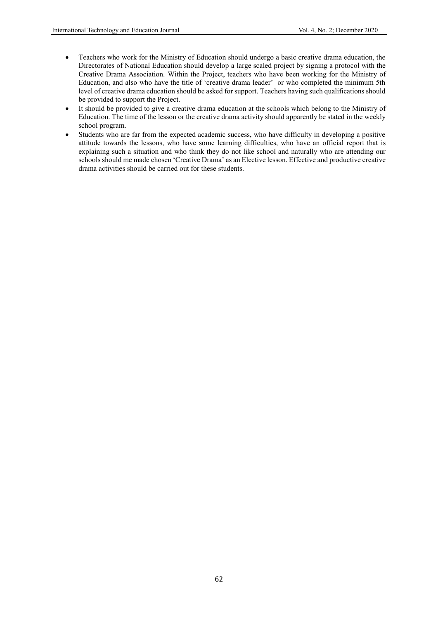- Teachers who work for the Ministry of Education should undergo a basic creative drama education, the Directorates of National Education should develop a large scaled project by signing a protocol with the Creative Drama Association. Within the Project, teachers who have been working for the Ministry of Education, and also who have the title of 'creative drama leader' or who completed the minimum 5th level of creative drama education should be asked for support. Teachers having such qualifications should be provided to support the Project.
- It should be provided to give a creative drama education at the schools which belong to the Ministry of Education. The time of the lesson or the creative drama activity should apparently be stated in the weekly school program.
- Students who are far from the expected academic success, who have difficulty in developing a positive attitude towards the lessons, who have some learning difficulties, who have an official report that is explaining such a situation and who think they do not like school and naturally who are attending our schools should me made chosen 'Creative Drama' as an Elective lesson. Effective and productive creative drama activities should be carried out for these students.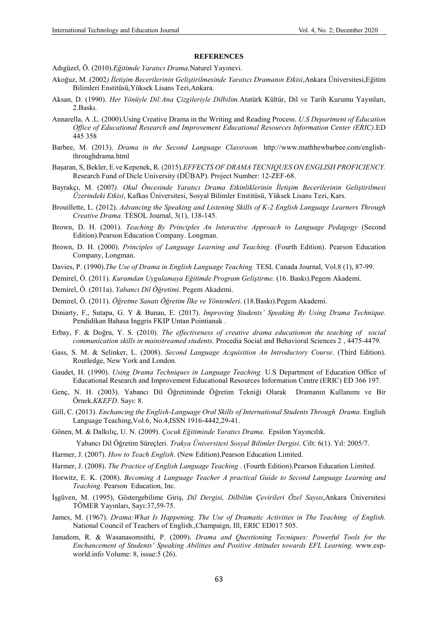#### **REFERENCES**

Adıgüzel, Ö. (2010).*Eğitimde Yaratıcı Drama,*Naturel Yayınevi.

- Akoğuz, M. (2002*) İletişim Becerilerinin Geliştirilmesinde Yaratıcı Dramanın Etkisi*,Ankara Üniversitesi,Eğitim Bilimleri Enstitüsü,Yüksek Lisans Tezi,Ankara.
- Aksan, D. (1990). *Her Yönüyle Dil:Ana Çizgileriyle Dilbilim.*Atatürk Kültür, Dil ve Tarih Kurumu Yayınları, 2.Baskı.
- Annarella, A .L. (2000).Using Creative Drama in the Writing and Reading Process. *U.S Department of Education Office of Educational Research and Improvement Educational Resources Information Center (ERIC)*.ED 445 358
- Barbee, M. (2013). *Drama in the Second Language Classroom.* http://www.mathhewbarbee.com/englishthroughdrama.html
- Başaran, S, Bekler, E.ve Kepenek, R. (2015).*EFFECTS OF DRAMA TECNIQUES ON ENGLISH PROFICIENCY.* Research Fund of Dicle University (DÜBAP). Project Number: 12-ZEF-68.
- Bayrakçı, M. (2007*). Okul Öncesinde Yaratıcı Drama Etkinliklerinin İletişim Becerilerinin Geliştirilmesi Üzerindeki Etkisi*, Kafkas Üniversitesi, Sosyal Bilimler Enstitüsü, Yüksek Lisans Tezi, Kars.
- Brouillette, L. (2012). *Advancing the Speaking and Listening Skills of K-2 English Language Learners Through Creative Drama.* TESOL Journal, 3(1), 138-145.
- Brown, D. H. (2001). *Teaching By Principles An Interactive Approach to Language Pedagogy* (Second Edition).Pearson Education Company. Longman.
- Brown, D. H. (2000). *Principles of Language Learning and Teaching*. (Fourth Edition). Pearson Education Company, Longman.
- Davies, P. (1990).*The Use of Drama in English Language Teaching.* TESL Canada Journal, Vol.8 (1), 87-99.
- Demirel, Ö. (2011). *Kuramdan Uygulamaya Eğitimde Program Geliştirme*. (16. Baskı).Pegem Akademi.
- Demirel, Ö. (2011a). *Yabancı Dil Öğretimi*. Pegem Akademi.
- Demirel, Ö. (2011). *Öğretme Sanatı Öğretim İlke ve Yöntemleri*. (18.Baskı).Pegem Akademi.
- Diniarty, F., Sutapa, G. Y & Bunau, E. (2017). *Improving Students' Speaking By Using Drama Technique.* Pendidikan Bahasa Inggris FKIP Untan Pointianak .
- Erbay, F. & Doğru, Y. S. (2010). *The effectiveness of creative drama educationon the teaching of social communication skills in mainstreamed students.* Procedia Social and Behavioral Sciences 2 , 4475-4479.
- Gass, S. M. & Selinker, L. (2008). *Second Language Acquisition An Introductory Course*. (Third Edition). Routledge, New York and London.
- Gaudet, H. (1990). *Using Drama Techniques in Language Teaching.* U.S Department of Education Office of Educational Research and Improvement Educational Resources Information Centre (ERIC) ED 366 197.
- Genç, N. H. (2003). Yabancı Dil Öğretiminde Öğretim Tekniği Olarak Dramanın Kullanımı ve Bir Örnek.*KKEFD*. Sayı: 8.
- Gill, C. (2013). *Enchancing the English-Language Oral Skills of International Students Through Drama.* English Language Teaching,Vol.6, No.4,ISSN 1916-4442,29-41.
- Gönen, M. & Dalkılıç, U. N. (2009). *Çocuk Eğitiminde Yaratıcı Drama.* Epsilon Yayıncılık.

Yabancı Dil Öğretim Süreçleri*. Trakya Üniversitesi Sosyal Bilimler Dergisi*. Cilt: 6(1). Yıl: 2005/7.

- Harmer, J. (2007). *How to Teach English*. (New Edition).Pearson Education Limited.
- Harmer, J. (2008). *The Practice of English Language Teaching* . (Fourth Edition).Pearson Education Limited.
- Horwitz, E. K. (2008). *Becoming A Language Teacher A practical Guide to Second Language Learning and Teaching.* Pearson Education, Inc.
- İşgüven, M. (1995), Göstergebilime Giriş, *Dil Dergisi, Dilbilim Çevirileri Özel Sayısı*,Ankara Üniversitesi TÖMER Yayınları, Sayı:37,59-75.
- James, M. (1967). *Drama:What Is Happening, The Use of Dramatic Activities in The Teaching of English.* National Council of Teachers of English.,Champaign, Ill, ERIC ED017 505.
- Janudom, R. & Wasanasomsithi, P. (2009). *Drama and Questioning Tecniques: Powerful Tools for the Enchancement of Students' Speaking Abilities and Positive Attitudes towards EFL Learning.* www.espworld.info Volume: 8, issue:5 (26).